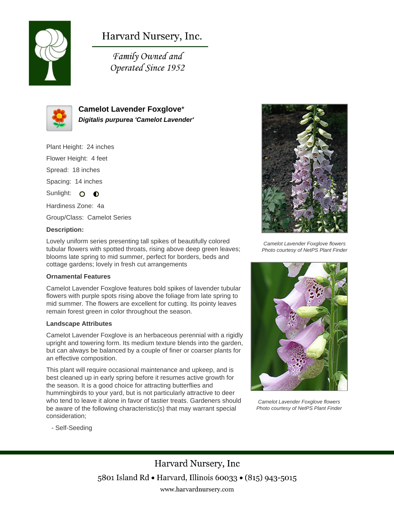

# Harvard Nursery, Inc.

Family Owned and Operated Since 1952



**Camelot Lavender Foxglove**\* **Digitalis purpurea 'Camelot Lavender'**

Plant Height: 24 inches

Flower Height: 4 feet

Spread: 18 inches

Spacing: 14 inches

Sunlight: O  $\bullet$ 

Hardiness Zone: 4a

Group/Class: Camelot Series

### **Description:**

Lovely uniform series presenting tall spikes of beautifully colored tubular flowers with spotted throats, rising above deep green leaves; blooms late spring to mid summer, perfect for borders, beds and cottage gardens; lovely in fresh cut arrangements

#### **Ornamental Features**

Camelot Lavender Foxglove features bold spikes of lavender tubular flowers with purple spots rising above the foliage from late spring to mid summer. The flowers are excellent for cutting. Its pointy leaves remain forest green in color throughout the season.

#### **Landscape Attributes**

Camelot Lavender Foxglove is an herbaceous perennial with a rigidly upright and towering form. Its medium texture blends into the garden, but can always be balanced by a couple of finer or coarser plants for an effective composition.

This plant will require occasional maintenance and upkeep, and is best cleaned up in early spring before it resumes active growth for the season. It is a good choice for attracting butterflies and hummingbirds to your yard, but is not particularly attractive to deer who tend to leave it alone in favor of tastier treats. Gardeners should be aware of the following characteristic(s) that may warrant special consideration;



Camelot Lavender Foxglove flowers Photo courtesy of NetPS Plant Finder



Camelot Lavender Foxglove flowers Photo courtesy of NetPS Plant Finder

- Self-Seeding

Harvard Nursery, Inc 5801 Island Rd • Harvard, Illinois 60033 • (815) 943-5015 www.harvardnursery.com